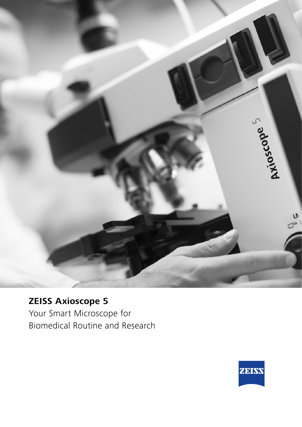

# **ZEISS Axioscope 5**

Your Smart Microscope for Biomedical Routine and Research

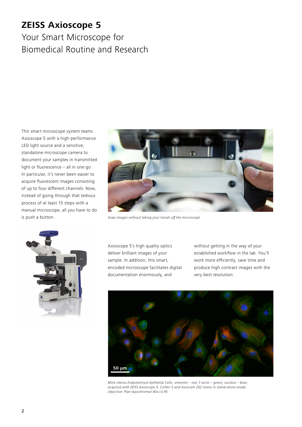# **ZEISS Axioscope 5**

# Your Smart Microscope for Biomedical Routine and Research

This smart microscope system teams Axioscope 5 with a high-performance LED light source and a sensitive, standalone microscope camera to document your samples in transmitted light or fluorescence – all in one go. In particular, it's never been easier to acquire fluorescent images consisting of up to four different channels. Now, instead of going through that tedious process of at least 15 steps with a manual microscope, all you have to do is push a button.



Snap images without taking your hands off the microscope



Axioscope 5's high quality optics deliver brilliant images of your sample. In addition, this smart, encoded microscope facilitates digital documentation enormously, and

without getting in the way of your established workflow in the lab. You'll work more efficiently, save time and produce high contrast images with the very best resolution.



Mink Uterus Endometrium Epithelial Cells, vimentin – red, F-actin – green, nucleus – blue; acquired with ZEISS Axioscope 5, Colibri 3 and Axiocam 202 mono in stand-alone mode, objective: Plan-Apochromat 40×/0.95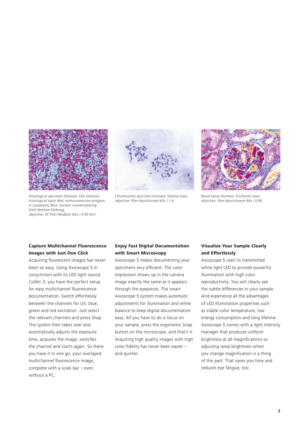

Chromosome specimen (human). Giemsa stain, objective: Plan-Apochromat 63× / 1.4



Renal tissue (human). Trichrome stain, objective: Plan-Apochromat 40× / 0.95

#### Histological specimen (human). CDx immunohistological stain; Red: immunoreactive antigens in cytoplasm; Blue: nuclear counterstaining Ziehl-Neelsen-Färbung, objective: EC Plan-Neofluar 63× / 0.95 Korr.

### **Capture Multichannel Fluorescence Images with Just One Click**

Acquiring fluorescent images has never been so easy. Using Axioscope 5 in conjunction with its LED light source Colibri 3, you have the perfect setup for easy multichannel fluorescence documentation. Switch effortlessly between the channels for UV, blue, green and red excitation. Just select the relevant channels and press Snap. The system then takes over and automatically adjusts the exposure time, acquires the image, switches the channel and starts again. So there you have it in one go: your overlayed multichannel fluorescence image, complete with a scale bar – even without a PC.

### **Enjoy Fast Digital Documentation with Smart Microscopy**

Axioscope 5 makes documenting your specimens very efficient. The color impression shows up in the camera image exactly the same as it appears through the eyepieces. The smart Axioscope 5 system makes automatic adjustments for illumination and white balance to keep digital documentation easy. All you have to do is focus on your sample, press the ergonomic Snap button on the microscope, and that's it. Acquiring high quality images with high color fidelity has never been easier – and quicker.

### **Visualize Your Sample Clearly and Effortlessly**

Axioscope 5 uses its transmitted white light LED to provide powerful illumination with high color reproductivity. You will clearly see the subtle differences in your sample. And experience all the advantages of LED illumination properties such as stable color temperature, low energy consumption and long lifetime. Axioscope 5 comes with a light intensity manager that produces uniform brightness at all magnifications so adjusting lamp brightness when you change magnification is a thing of the past. That saves you time and reduces eye fatigue, too.